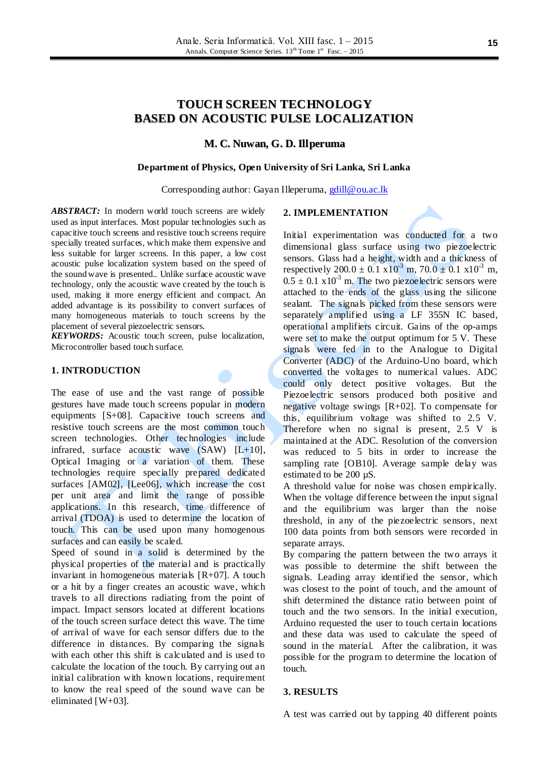# **TOUCH SCREEN TECHNOLOGY BASED ON ACOUSTIC PULSE LOCALIZATION**

# **M. C. Nuwan, G. D. Illperuma**

### **Department of Physics, Open University of Sri Lanka, Sri Lanka**

### Corresponding author: Gayan Illeperuma[, gdill@ou.ac.lk](mailto:gdill@ou.ac.lk)

ABSTRACT: In modern world touch screens are widely used as input interfaces. Most popular technologies such as capacitive touch screens and resistive touch screens require specially treated surfaces, which make them expensive and less suitable for larger screens. In this paper, a low cost acoustic pulse localization system based on the speed of the sound wave is presented.. Unlike surface acoustic wave technology, only the acoustic wave created by the touch is used, making it more energy efficient and compact. An added advantage is its possibility to convert surfaces of many homogeneous materials to touch screens by the placement of several piezoelectric sensors.

*KEYWORDS:* Acoustic touch screen, pulse localization, Microcontroller based touch surface.

# **1. INTRODUCTION**

The ease of use and the vast range of possible gestures have made touch screens popular in modern equipments [S+08]. Capacitive touch screens and resistive touch screens are the most common touch screen technologies. Other technologies include infrared, surface acoustic wave  $(SAW)$   $[L+10]$ , Optical Imaging or a variation of them. These technologies require specially prepared dedicated surfaces [AM02], [Lee06], which increase the cost per unit area and limit the range of possible applications. In this research, time difference of arrival (TDOA) is used to determine the location of touch. This can be used upon many homogenous surfaces and can easily be scaled.

Speed of sound in a solid is determined by the physical properties of the material and is practically invariant in homogeneous materials  $[R+07]$ . A touch or a hit by a finger creates an acoustic wave, which travels to all directions radiating from the point of impact. Impact sensors located at different locations of the touch screen surface detect this wave. The time of arrival of wave for each sensor differs due to the difference in distances. By comparing the signals with each other this shift is calculated and is used to calculate the location of the touch. By carrying out an initial calibration with known locations, requirement to know the real speed of the sound wave can be eliminated [W+03].

# **2. IMPLEMENTATION**

Initial experimentation was conducted for a two dimensional glass surface using two piezoelectric sensors. Glass had a height, width and a thickness of respectively  $200.0 \pm 0.1 \times 10^{3}$  m,  $70.0 \pm 0.1 \times 10^{3}$  m,  $0.5 \pm 0.1 \times 10^{-3}$  m. The two piezoelectric sensors were attached to the ends of the glass using the silicone sealant. The signals picked from these sensors were separately amplified using a LF 355N IC based, operational amplifiers circuit. Gains of the op-amps were set to make the output optimum for 5 V. These signals were fed in to the Analogue to Digital Converter (ADC) of the Arduino-Uno board, which converted the voltages to numerical values. ADC could only detect positive voltages. But the Piezoelectric sensors produced both positive and negative voltage swings [R+02]. To compensate for this, equilibrium voltage was shifted to 2.5 V. Therefore when no signal is present, 2.5 V is maintained at the ADC. Resolution of the conversion was reduced to 5 bits in order to increase the sampling rate [OB10]. Average sample delay was estimated to be 200 µS.

A threshold value for noise was chosen empirically. When the voltage difference between the input signal and the equilibrium was larger than the noise threshold, in any of the piezoelectric sensors, next 100 data points from both sensors were recorded in separate arrays.

By comparing the pattern between the two arrays it was possible to determine the shift between the signals. Leading array identified the sensor, which was closest to the point of touch, and the amount of shift determined the distance ratio between point of touch and the two sensors. In the initial execution, Arduino requested the user to touch certain locations and these data was used to calculate the speed of sound in the material. After the calibration, it was possible for the program to determine the location of touch.

### **3. RESULTS**

A test was carried out by tapping 40 different points